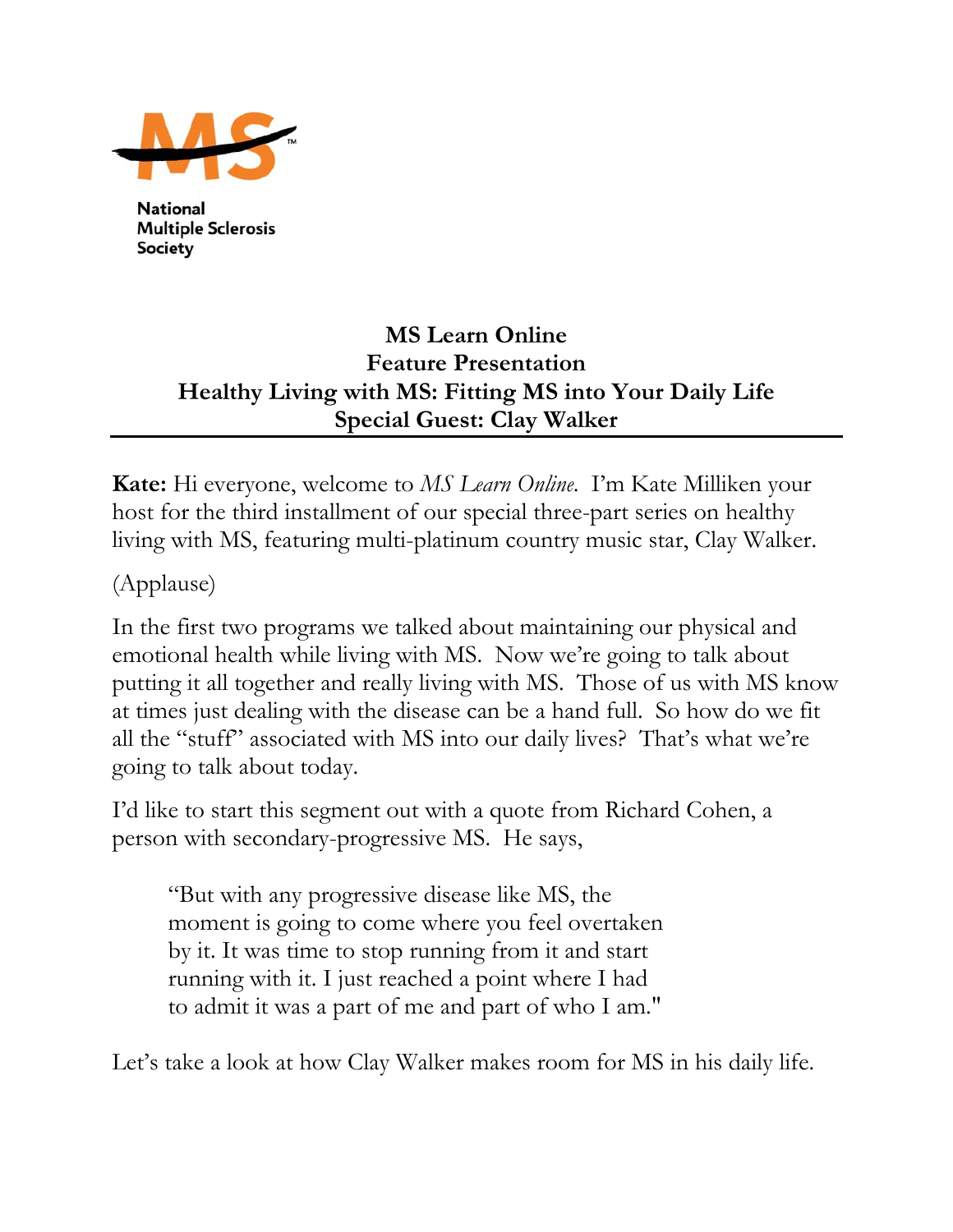

**National Multiple Sclerosis Society** 

## **MS Learn Online Feature Presentation Healthy Living with MS: Fitting MS into Your Daily Life Special Guest: Clay Walker**

**Kate:** Hi everyone, welcome to *MS Learn Online*. I'm Kate Milliken your host for the third installment of our special three-part series on healthy living with MS, featuring multi-platinum country music star, Clay Walker.

(Applause)

In the first two programs we talked about maintaining our physical and emotional health while living with MS. Now we're going to talk about putting it all together and really living with MS. Those of us with MS know at times just dealing with the disease can be a hand full. So how do we fit all the "stuff" associated with MS into our daily lives? That's what we're going to talk about today.

I'd like to start this segment out with a quote from Richard Cohen, a person with secondary-progressive MS. He says,

"But with any progressive disease like MS, the moment is going to come where you feel overtaken by it. It was time to stop running from it and start running with it. I just reached a point where I had to admit it was a part of me and part of who I am."

Let's take a look at how Clay Walker makes room for MS in his daily life.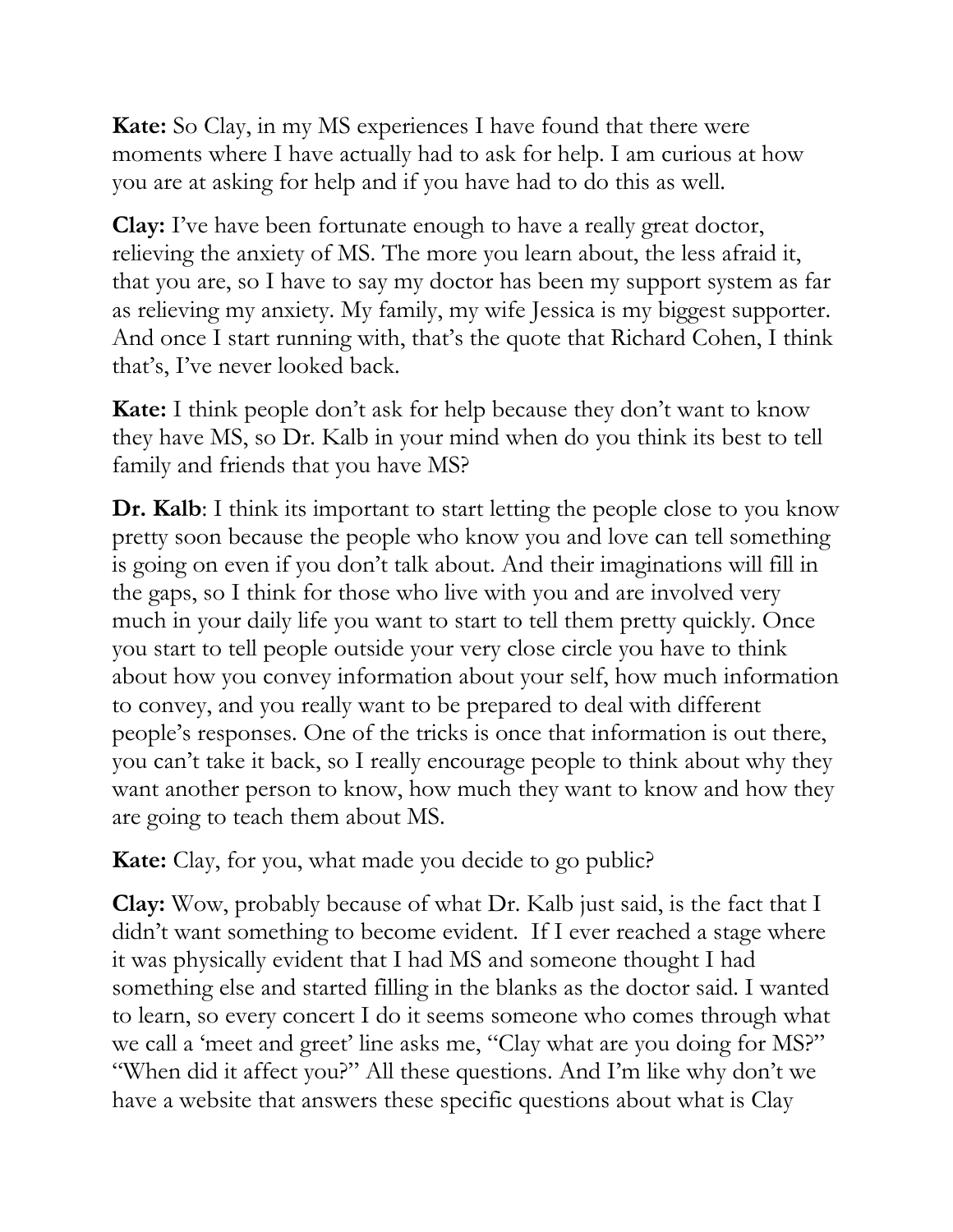**Kate:** So Clay, in my MS experiences I have found that there were moments where I have actually had to ask for help. I am curious at how you are at asking for help and if you have had to do this as well.

**Clay:** I've have been fortunate enough to have a really great doctor, relieving the anxiety of MS. The more you learn about, the less afraid it, that you are, so I have to say my doctor has been my support system as far as relieving my anxiety. My family, my wife Jessica is my biggest supporter. And once I start running with, that's the quote that Richard Cohen, I think that's, I've never looked back.

**Kate:** I think people don't ask for help because they don't want to know they have MS, so Dr. Kalb in your mind when do you think its best to tell family and friends that you have MS?

**Dr. Kalb**: I think its important to start letting the people close to you know pretty soon because the people who know you and love can tell something is going on even if you don't talk about. And their imaginations will fill in the gaps, so I think for those who live with you and are involved very much in your daily life you want to start to tell them pretty quickly. Once you start to tell people outside your very close circle you have to think about how you convey information about your self, how much information to convey, and you really want to be prepared to deal with different people's responses. One of the tricks is once that information is out there, you can't take it back, so I really encourage people to think about why they want another person to know, how much they want to know and how they are going to teach them about MS.

**Kate:** Clay, for you, what made you decide to go public?

**Clay:** Wow, probably because of what Dr. Kalb just said, is the fact that I didn't want something to become evident. If I ever reached a stage where it was physically evident that I had MS and someone thought I had something else and started filling in the blanks as the doctor said. I wanted to learn, so every concert I do it seems someone who comes through what we call a 'meet and greet' line asks me, "Clay what are you doing for MS?" "When did it affect you?" All these questions. And I'm like why don't we have a website that answers these specific questions about what is Clay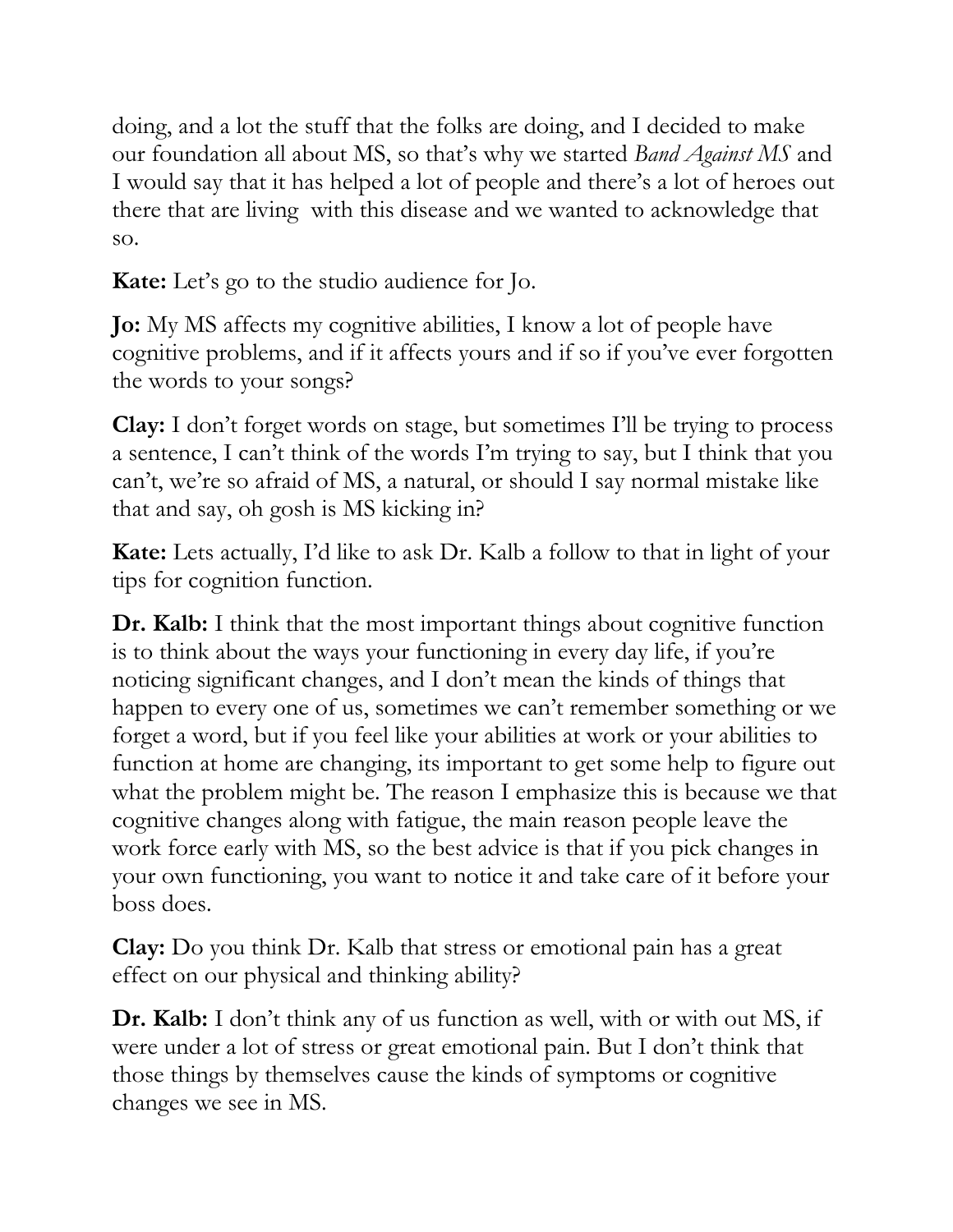doing, and a lot the stuff that the folks are doing, and I decided to make our foundation all about MS, so that's why we started *Band Against MS* and I would say that it has helped a lot of people and there's a lot of heroes out there that are living with this disease and we wanted to acknowledge that so.

**Kate:** Let's go to the studio audience for Jo.

**Jo:** My MS affects my cognitive abilities, I know a lot of people have cognitive problems, and if it affects yours and if so if you've ever forgotten the words to your songs?

**Clay:** I don't forget words on stage, but sometimes I'll be trying to process a sentence, I can't think of the words I'm trying to say, but I think that you can't, we're so afraid of MS, a natural, or should I say normal mistake like that and say, oh gosh is MS kicking in?

**Kate:** Lets actually, I'd like to ask Dr. Kalb a follow to that in light of your tips for cognition function.

**Dr. Kalb:** I think that the most important things about cognitive function is to think about the ways your functioning in every day life, if you're noticing significant changes, and I don't mean the kinds of things that happen to every one of us, sometimes we can't remember something or we forget a word, but if you feel like your abilities at work or your abilities to function at home are changing, its important to get some help to figure out what the problem might be. The reason I emphasize this is because we that cognitive changes along with fatigue, the main reason people leave the work force early with MS, so the best advice is that if you pick changes in your own functioning, you want to notice it and take care of it before your boss does.

**Clay:** Do you think Dr. Kalb that stress or emotional pain has a great effect on our physical and thinking ability?

**Dr. Kalb:** I don't think any of us function as well, with or with out MS, if were under a lot of stress or great emotional pain. But I don't think that those things by themselves cause the kinds of symptoms or cognitive changes we see in MS.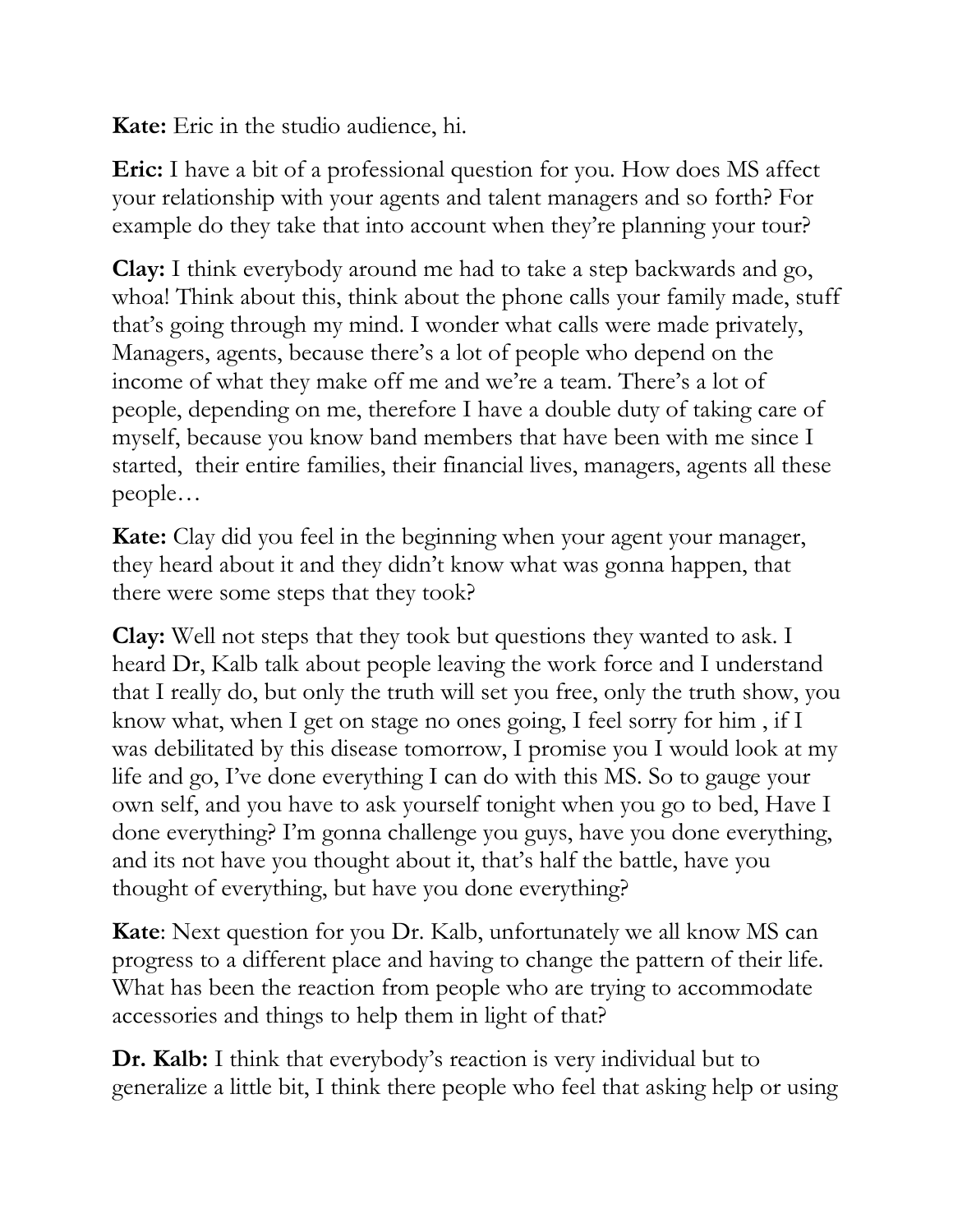**Kate:** Eric in the studio audience, hi.

**Eric:** I have a bit of a professional question for you. How does MS affect your relationship with your agents and talent managers and so forth? For example do they take that into account when they're planning your tour?

**Clay:** I think everybody around me had to take a step backwards and go, whoa! Think about this, think about the phone calls your family made, stuff that's going through my mind. I wonder what calls were made privately, Managers, agents, because there's a lot of people who depend on the income of what they make off me and we're a team. There's a lot of people, depending on me, therefore I have a double duty of taking care of myself, because you know band members that have been with me since I started, their entire families, their financial lives, managers, agents all these people…

**Kate:** Clay did you feel in the beginning when your agent your manager, they heard about it and they didn't know what was gonna happen, that there were some steps that they took?

**Clay:** Well not steps that they took but questions they wanted to ask. I heard Dr, Kalb talk about people leaving the work force and I understand that I really do, but only the truth will set you free, only the truth show, you know what, when I get on stage no ones going, I feel sorry for him , if I was debilitated by this disease tomorrow, I promise you I would look at my life and go, I've done everything I can do with this MS. So to gauge your own self, and you have to ask yourself tonight when you go to bed, Have I done everything? I'm gonna challenge you guys, have you done everything, and its not have you thought about it, that's half the battle, have you thought of everything, but have you done everything?

**Kate**: Next question for you Dr. Kalb, unfortunately we all know MS can progress to a different place and having to change the pattern of their life. What has been the reaction from people who are trying to accommodate accessories and things to help them in light of that?

**Dr. Kalb:** I think that everybody's reaction is very individual but to generalize a little bit, I think there people who feel that asking help or using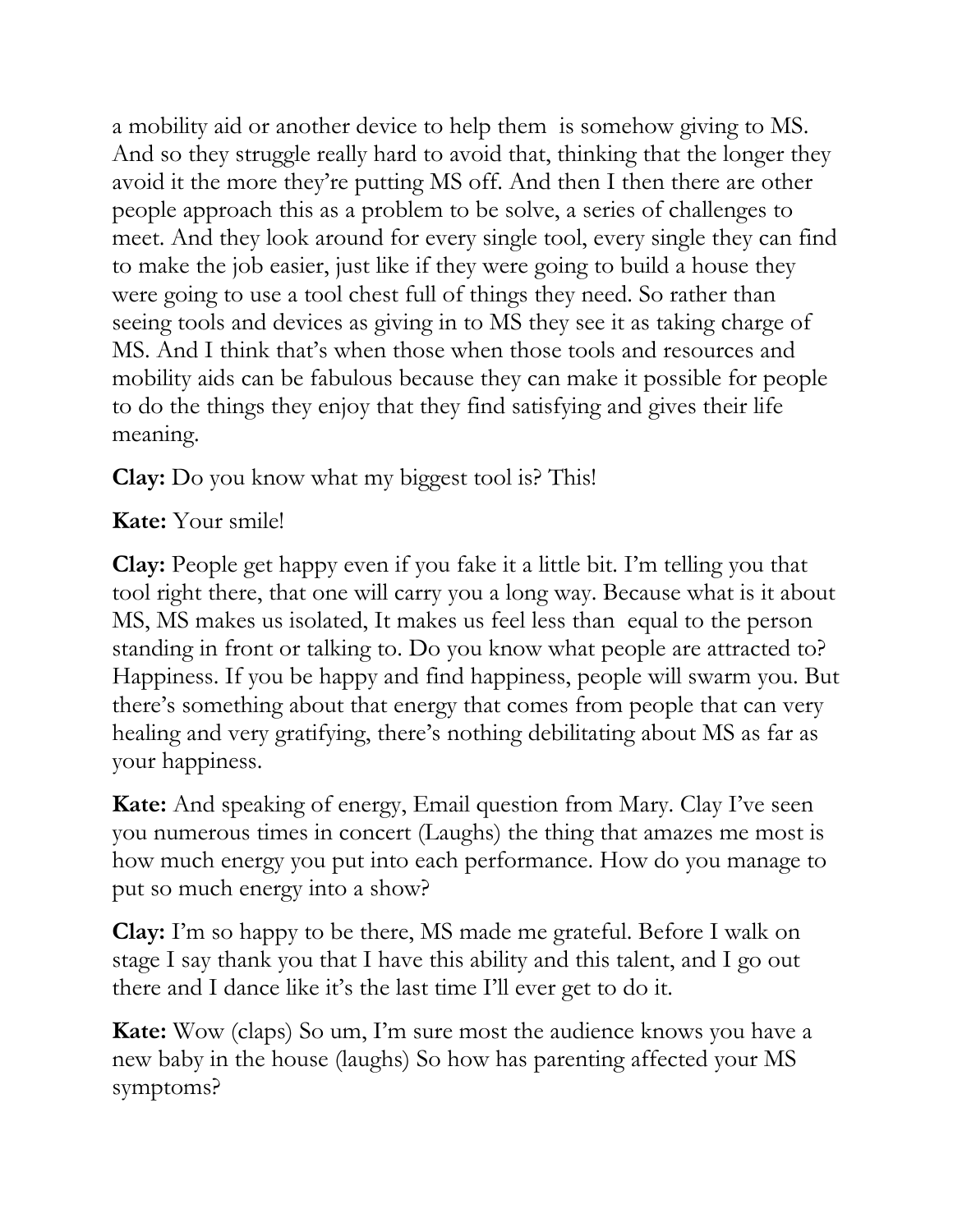a mobility aid or another device to help them is somehow giving to MS. And so they struggle really hard to avoid that, thinking that the longer they avoid it the more they're putting MS off. And then I then there are other people approach this as a problem to be solve, a series of challenges to meet. And they look around for every single tool, every single they can find to make the job easier, just like if they were going to build a house they were going to use a tool chest full of things they need. So rather than seeing tools and devices as giving in to MS they see it as taking charge of MS. And I think that's when those when those tools and resources and mobility aids can be fabulous because they can make it possible for people to do the things they enjoy that they find satisfying and gives their life meaning.

**Clay:** Do you know what my biggest tool is? This!

## **Kate:** Your smile!

**Clay:** People get happy even if you fake it a little bit. I'm telling you that tool right there, that one will carry you a long way. Because what is it about MS, MS makes us isolated, It makes us feel less than equal to the person standing in front or talking to. Do you know what people are attracted to? Happiness. If you be happy and find happiness, people will swarm you. But there's something about that energy that comes from people that can very healing and very gratifying, there's nothing debilitating about MS as far as your happiness.

**Kate:** And speaking of energy, Email question from Mary. Clay I've seen you numerous times in concert (Laughs) the thing that amazes me most is how much energy you put into each performance. How do you manage to put so much energy into a show?

**Clay:** I'm so happy to be there, MS made me grateful. Before I walk on stage I say thank you that I have this ability and this talent, and I go out there and I dance like it's the last time I'll ever get to do it.

**Kate:** Wow (claps) So um, I'm sure most the audience knows you have a new baby in the house (laughs) So how has parenting affected your MS symptoms?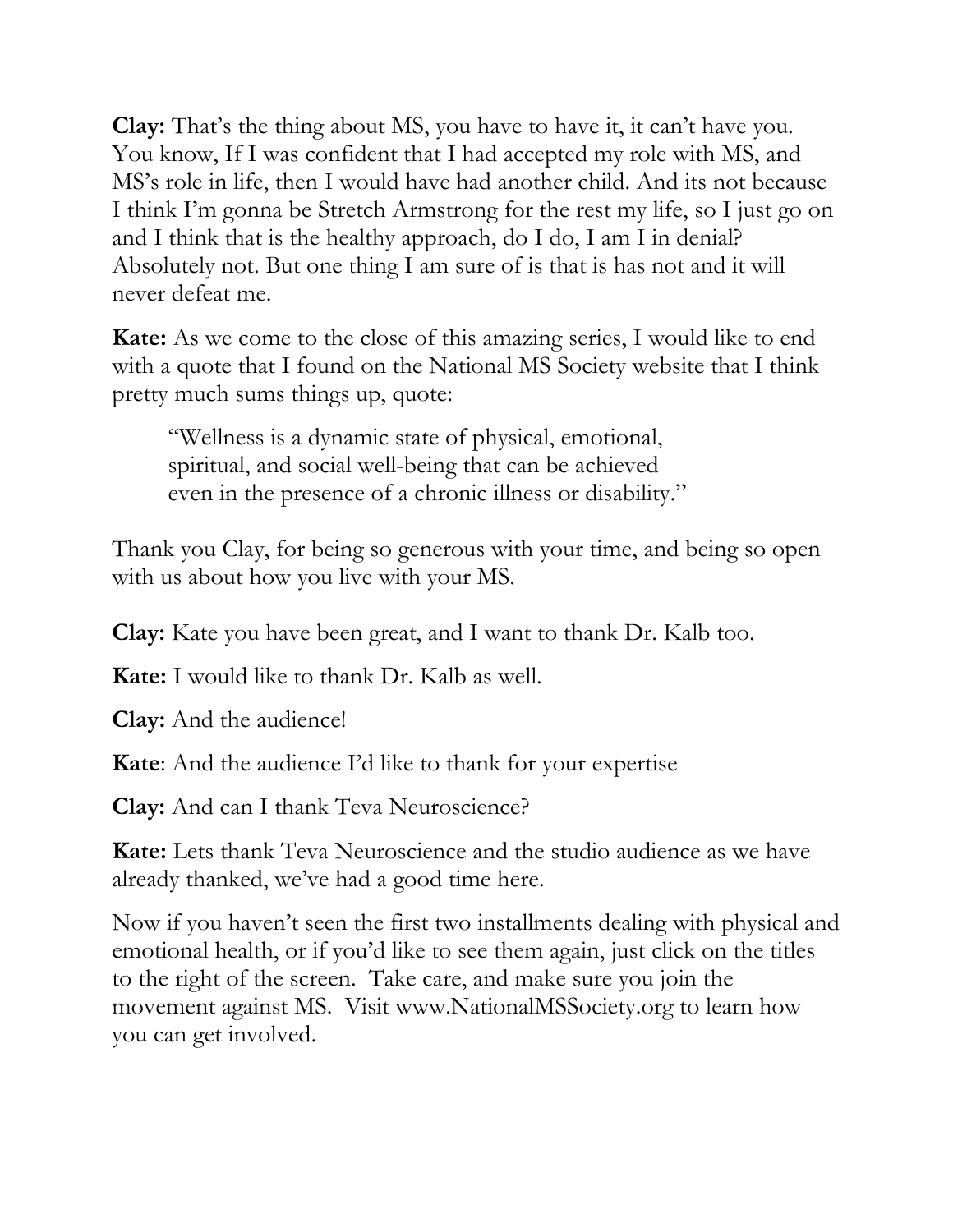**Clay:** That's the thing about MS, you have to have it, it can't have you. You know, If I was confident that I had accepted my role with MS, and MS's role in life, then I would have had another child. And its not because I think I'm gonna be Stretch Armstrong for the rest my life, so I just go on and I think that is the healthy approach, do I do, I am I in denial? Absolutely not. But one thing I am sure of is that is has not and it will never defeat me.

**Kate:** As we come to the close of this amazing series, I would like to end with a quote that I found on the National MS Society website that I think pretty much sums things up, quote:

"Wellness is a dynamic state of physical, emotional, spiritual, and social well-being that can be achieved even in the presence of a chronic illness or disability."

Thank you Clay, for being so generous with your time, and being so open with us about how you live with your MS.

**Clay:** Kate you have been great, and I want to thank Dr. Kalb too.

**Kate:** I would like to thank Dr. Kalb as well.

**Clay:** And the audience!

**Kate**: And the audience I'd like to thank for your expertise

**Clay:** And can I thank Teva Neuroscience?

**Kate:** Lets thank Teva Neuroscience and the studio audience as we have already thanked, we've had a good time here.

Now if you haven't seen the first two installments dealing with physical and emotional health, or if you'd like to see them again, just click on the titles to the right of the screen. Take care, and make sure you join the movement against MS. Visit www.NationalMSSociety.org to learn how you can get involved.